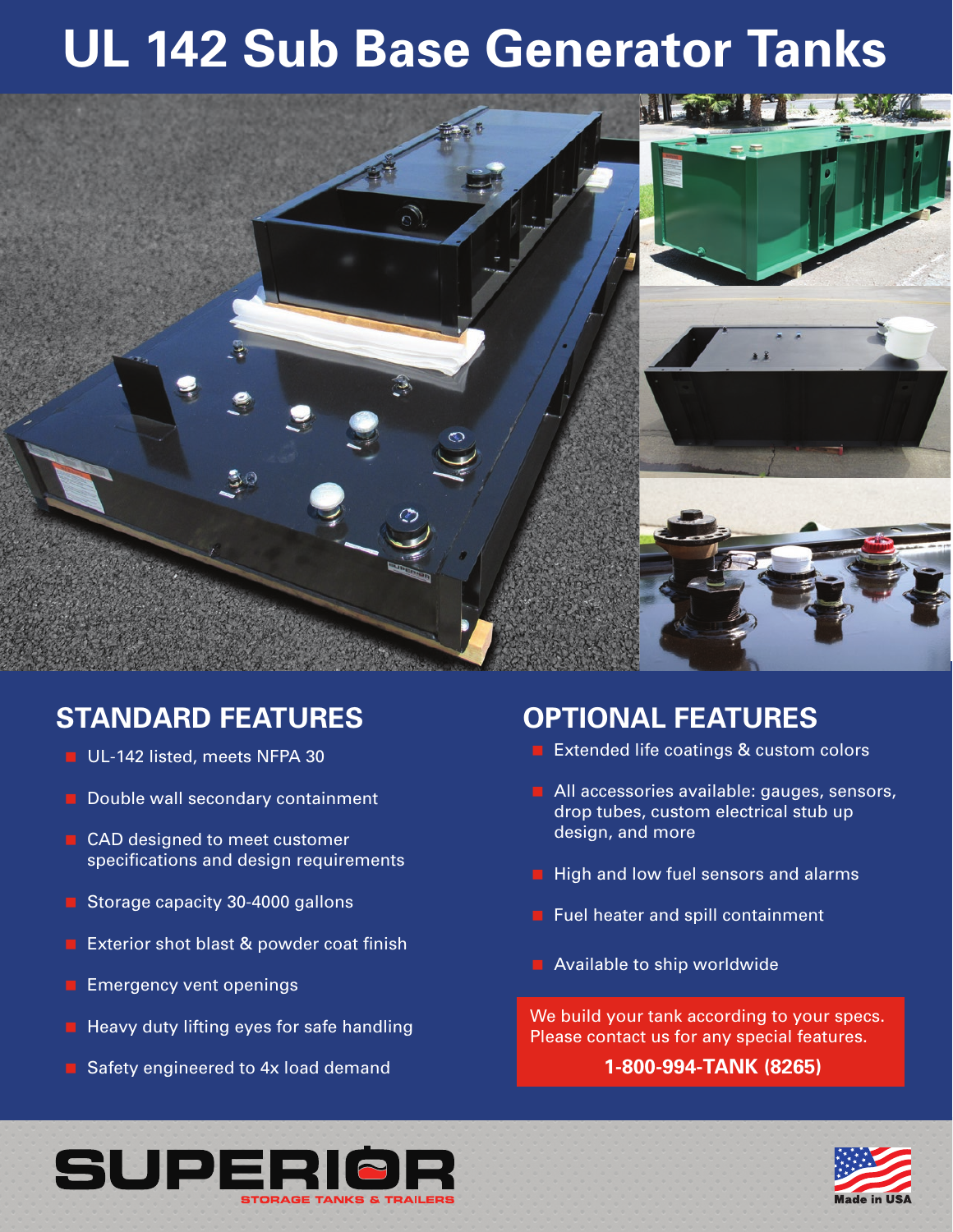# **UL 142 Sub Base Generator Tanks**



## **STANDARD FEATURES**

- UL-142 listed, meets NFPA 30
- $\blacksquare$  Double wall secondary containment
- CAD designed to meet customer specifications and design requirements
- Storage capacity 30-4000 gallons
- **EXTER EXTERIOR SHOT DEATS & powder coat finish**
- $\blacksquare$  Emergency vent openings
- $\blacksquare$  Heavy duty lifting eyes for safe handling
- Safety engineered to 4x load demand

### **OPTIONAL FEATURES**

- **EXtended life coatings & custom colors**
- All accessories available: gauges, sensors, drop tubes, custom electrical stub up design, and more
- $\blacksquare$  High and low fuel sensors and alarms
- **Fuel heater and spill containment**
- Available to ship worldwide

We build your tank according to your specs. Please contact us for any special features.

#### **1-800-994-TANK (8265)**